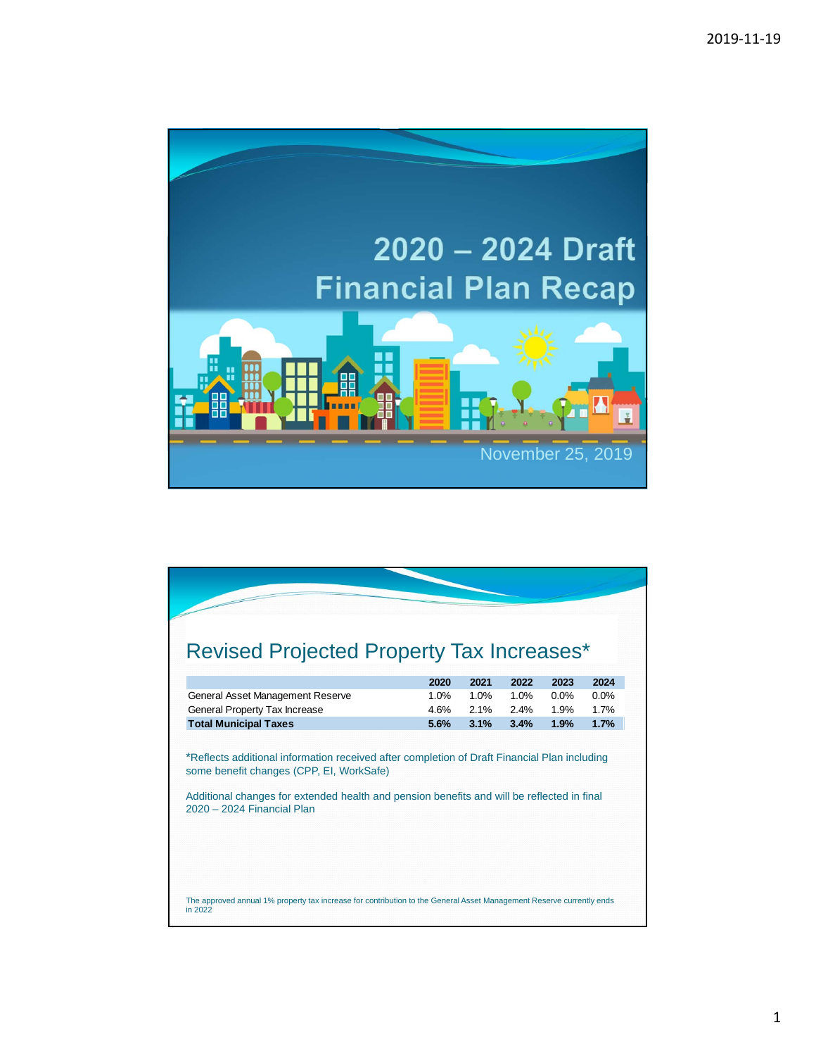

| <b>Revised Projected Property Tax Increases*</b>                                                                                                                     |      |      |      |      |      |
|----------------------------------------------------------------------------------------------------------------------------------------------------------------------|------|------|------|------|------|
|                                                                                                                                                                      | 2020 | 2021 | 2022 | 2023 | 2024 |
| General Asset Management Reserve                                                                                                                                     | 1.0% | 1.0% | 1.0% | 0.0% | 0.0% |
| General Property Tax Increase                                                                                                                                        | 4.6% | 2.1% | 2.4% | 1.9% | 1.7% |
| <b>Total Municipal Taxes</b>                                                                                                                                         | 5.6% | 3.1% | 3.4% | 1.9% | 1.7% |
| some benefit changes (CPP, EI, WorkSafe)<br>Additional changes for extended health and pension benefits and will be reflected in final<br>2020 - 2024 Financial Plan |      |      |      |      |      |
| The approved annual 1% property tax increase for contribution to the General Asset Management Reserve currently ends                                                 |      |      |      |      |      |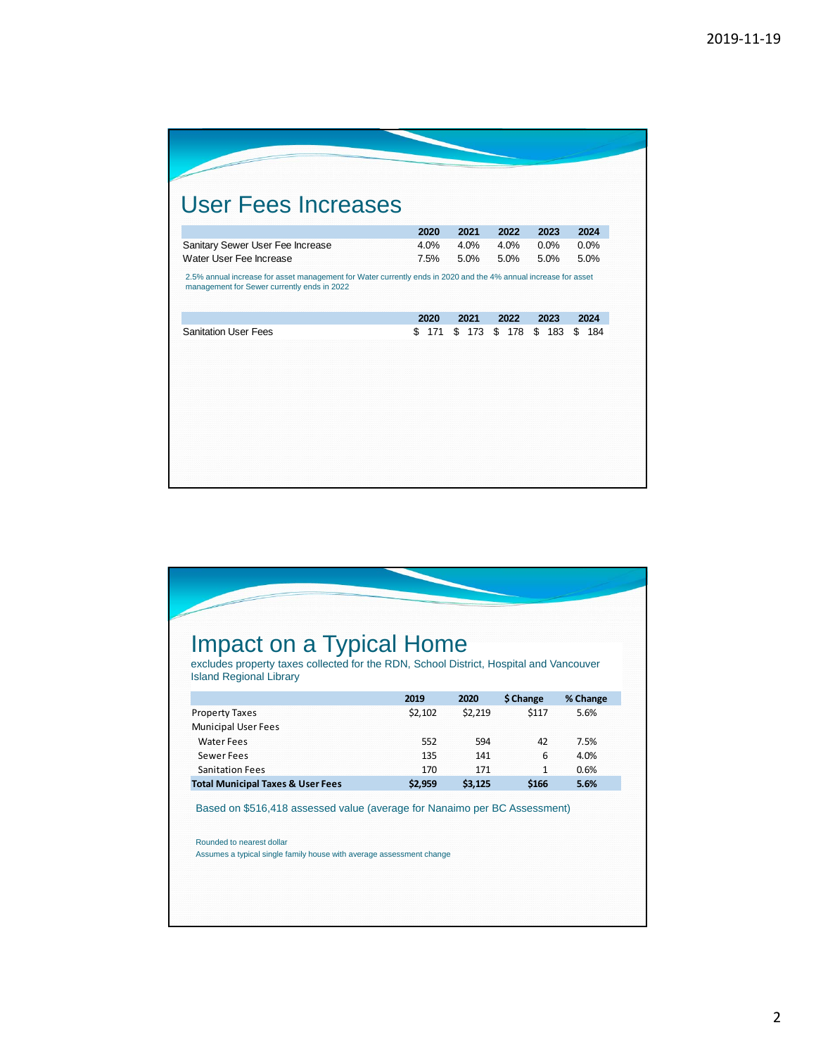| <b>User Fees Increases</b><br>2020<br>2021<br>4.0%<br>Sanitary Sewer User Fee Increase<br>4.0%<br>Water User Fee Increase<br>7.5%<br>5.0%<br>2.5% annual increase for asset management for Water currently ends in 2020 and the 4% annual increase for asset<br>management for Sewer currently ends in 2022<br>2020<br>2021<br><b>Sanitation User Fees</b><br>\$<br>\$<br>171 |
|-------------------------------------------------------------------------------------------------------------------------------------------------------------------------------------------------------------------------------------------------------------------------------------------------------------------------------------------------------------------------------|
|-------------------------------------------------------------------------------------------------------------------------------------------------------------------------------------------------------------------------------------------------------------------------------------------------------------------------------------------------------------------------------|

| Impact on a Typical Home                                                                                                 |         |         |              |          |
|--------------------------------------------------------------------------------------------------------------------------|---------|---------|--------------|----------|
| excludes property taxes collected for the RDN, School District, Hospital and Vancouver<br><b>Island Regional Library</b> |         |         |              |          |
|                                                                                                                          | 2019    | 2020    | \$ Change    | % Change |
| <b>Property Taxes</b>                                                                                                    | \$2.102 | \$2,219 | \$117        | 5.6%     |
| <b>Municipal User Fees</b>                                                                                               |         |         |              |          |
| <b>Water Fees</b>                                                                                                        | 552     | 594     | 42           | 7.5%     |
| Sewer Fees                                                                                                               | 135     | 141     | 6            | 4.0%     |
| <b>Sanitation Fees</b>                                                                                                   | 170     | 171     | $\mathbf{1}$ | 0.6%     |
| <b>Total Municipal Taxes &amp; User Fees</b>                                                                             | \$2,959 | \$3,125 | \$166        | 5.6%     |
| Based on \$516,418 assessed value (average for Nanaimo per BC Assessment)                                                |         |         |              |          |
| Rounded to nearest dollar                                                                                                |         |         |              |          |
| Assumes a typical single family house with average assessment change                                                     |         |         |              |          |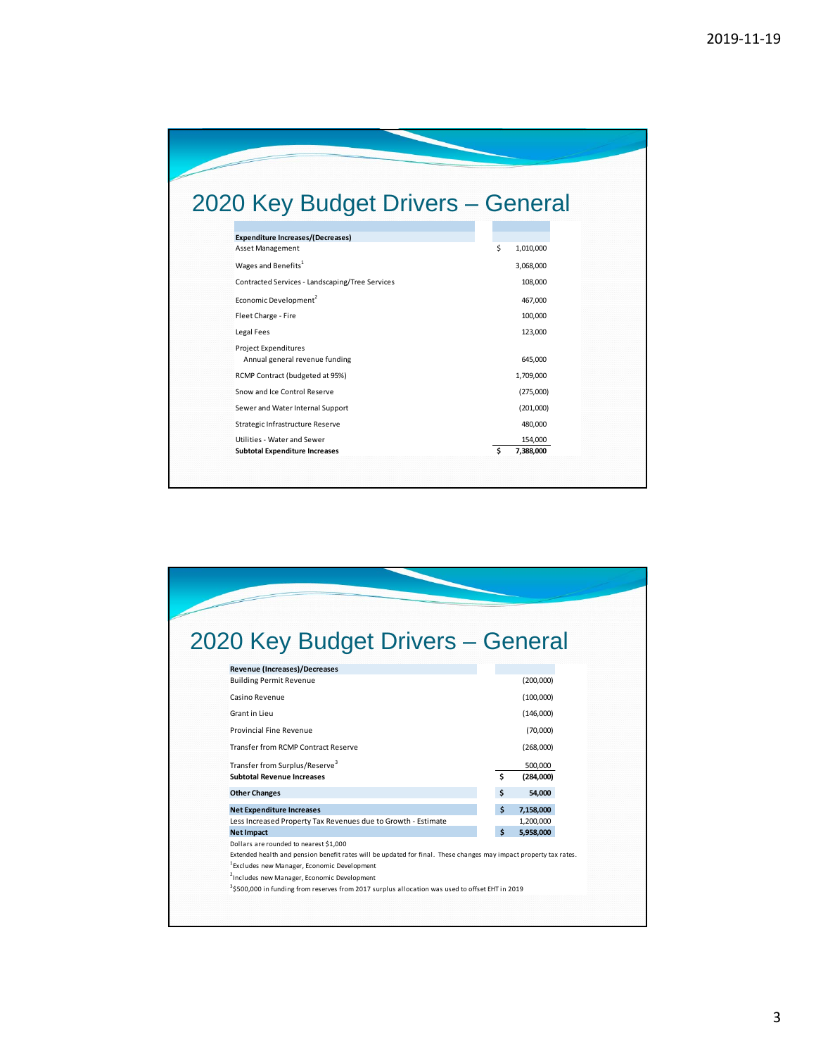| 2020 Key Budget Drivers - General                            |                |
|--------------------------------------------------------------|----------------|
|                                                              |                |
| <b>Expenditure Increases/(Decreases)</b><br>Asset Management | Ś<br>1,010,000 |
| Wages and Benefits <sup>1</sup>                              | 3,068,000      |
| Contracted Services - Landscaping/Tree Services              | 108,000        |
| Economic Development <sup>2</sup>                            | 467,000        |
| Fleet Charge - Fire                                          | 100,000        |
| Legal Fees                                                   | 123,000        |
| <b>Project Expenditures</b>                                  |                |
| Annual general revenue funding                               | 645,000        |
| RCMP Contract (budgeted at 95%)                              | 1,709,000      |
| Snow and Ice Control Reserve                                 | (275,000)      |
| Sewer and Water Internal Support                             | (201,000)      |
| Strategic Infrastructure Reserve                             | 480,000        |
| Utilities - Water and Sewer                                  | 154,000        |
| <b>Subtotal Expenditure Increases</b>                        | Ŝ<br>7,388,000 |

| 2020 Key Budget Drivers - General                                                                                 |    |           |
|-------------------------------------------------------------------------------------------------------------------|----|-----------|
|                                                                                                                   |    |           |
| <b>Revenue (Increases)/Decreases</b>                                                                              |    |           |
| <b>Building Permit Revenue</b>                                                                                    |    | (200,000) |
| Casino Revenue                                                                                                    |    | (100,000) |
|                                                                                                                   |    |           |
| Grant in Lieu                                                                                                     |    | (146,000) |
| Provincial Fine Revenue                                                                                           |    | (70,000)  |
| Transfer from RCMP Contract Reserve                                                                               |    | (268,000) |
| Transfer from Surplus/Reserve <sup>3</sup>                                                                        |    | 500,000   |
| <b>Subtotal Revenue Increases</b>                                                                                 | Ś. | (284,000) |
| <b>Other Changes</b>                                                                                              | Ś. | 54.000    |
|                                                                                                                   |    |           |
| <b>Net Expenditure Increases</b>                                                                                  | Ś  | 7,158,000 |
| Less Increased Property Tax Revenues due to Growth - Estimate                                                     |    | 1,200,000 |
| <b>Net Impact</b>                                                                                                 | Ś  | 5,958,000 |
| Dollars are rounded to nearest \$1,000                                                                            |    |           |
| Extended health and pension benefit rates will be updated for final. These changes may impact property tax rates. |    |           |
| <sup>1</sup> Excludes new Manager, Economic Development                                                           |    |           |
| <sup>2</sup> Includes new Manager, Economic Development                                                           |    |           |
| <sup>3</sup> \$500,000 in funding from reserves from 2017 surplus allocation was used to offset EHT in 2019       |    |           |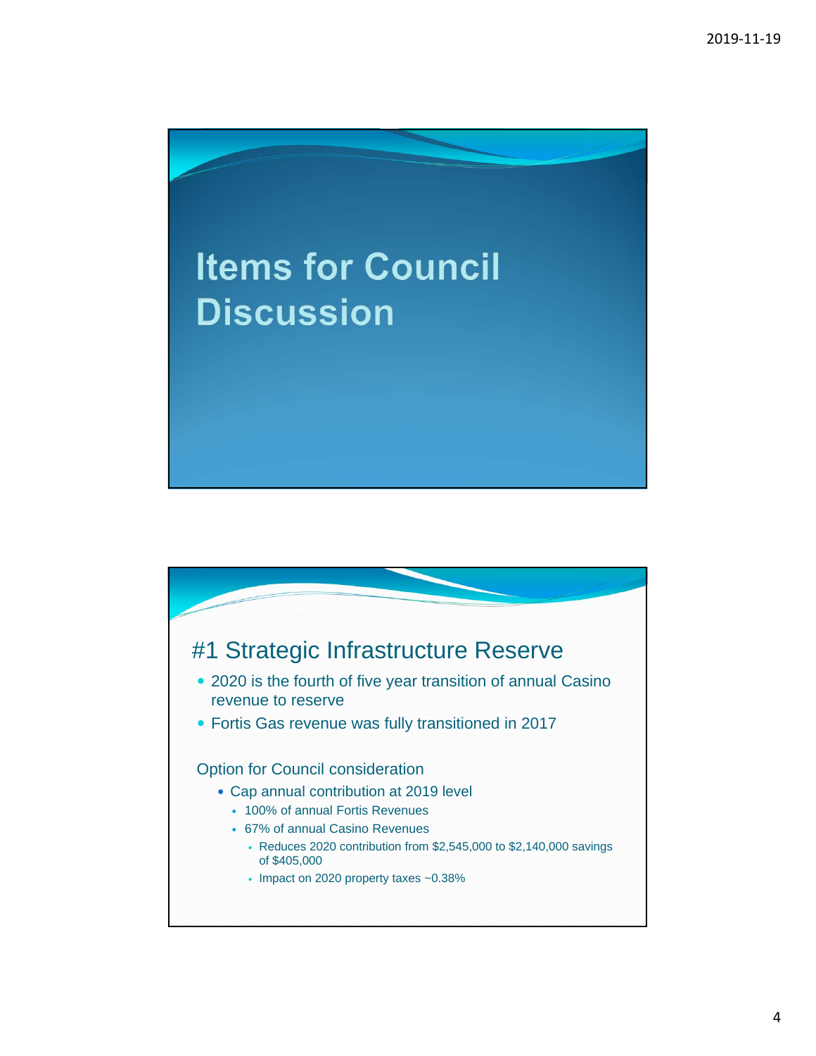

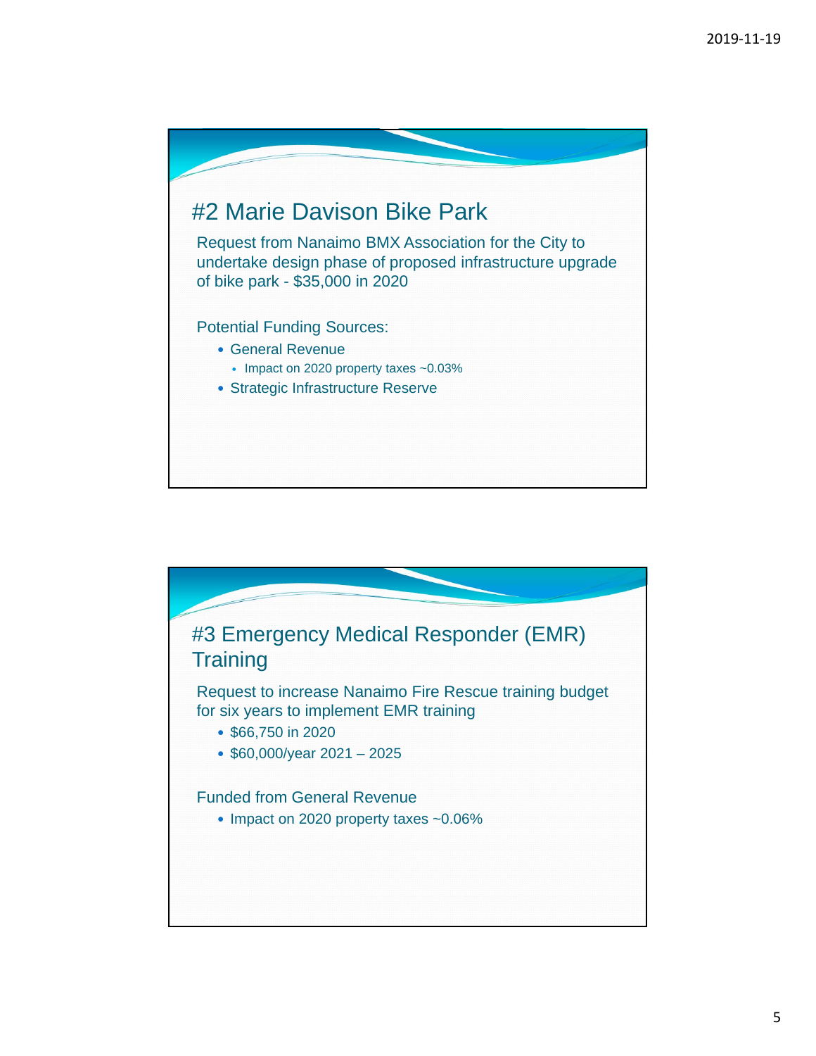

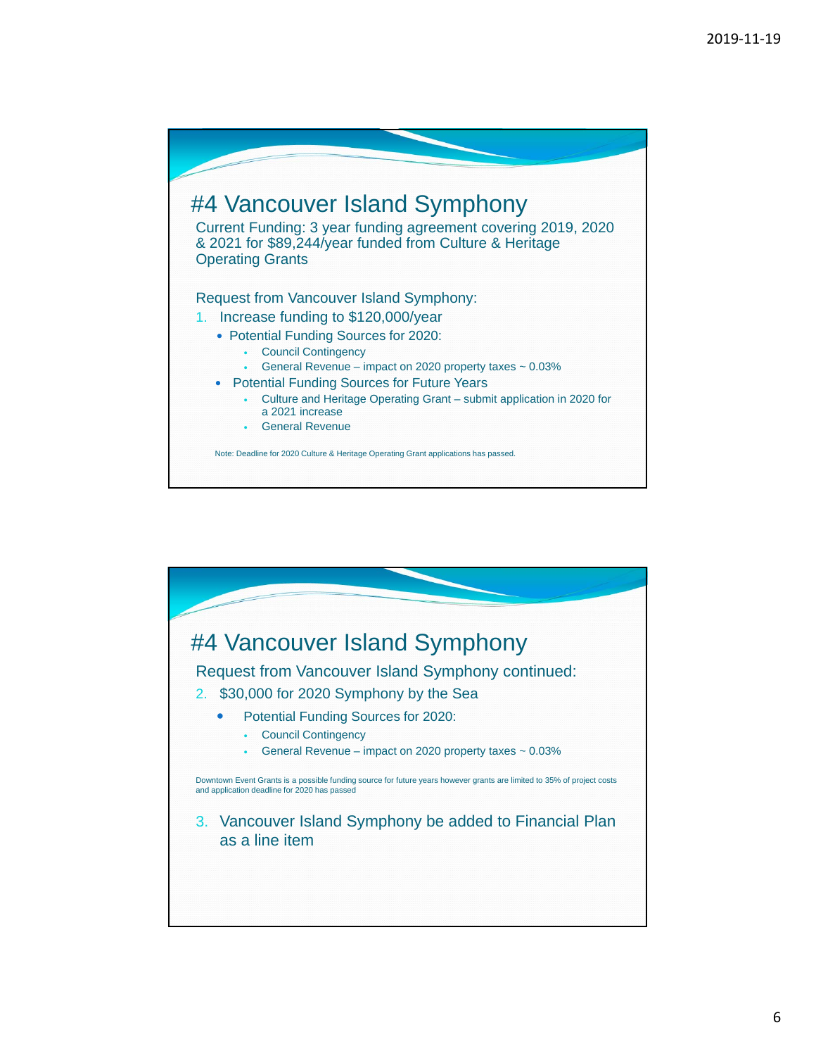

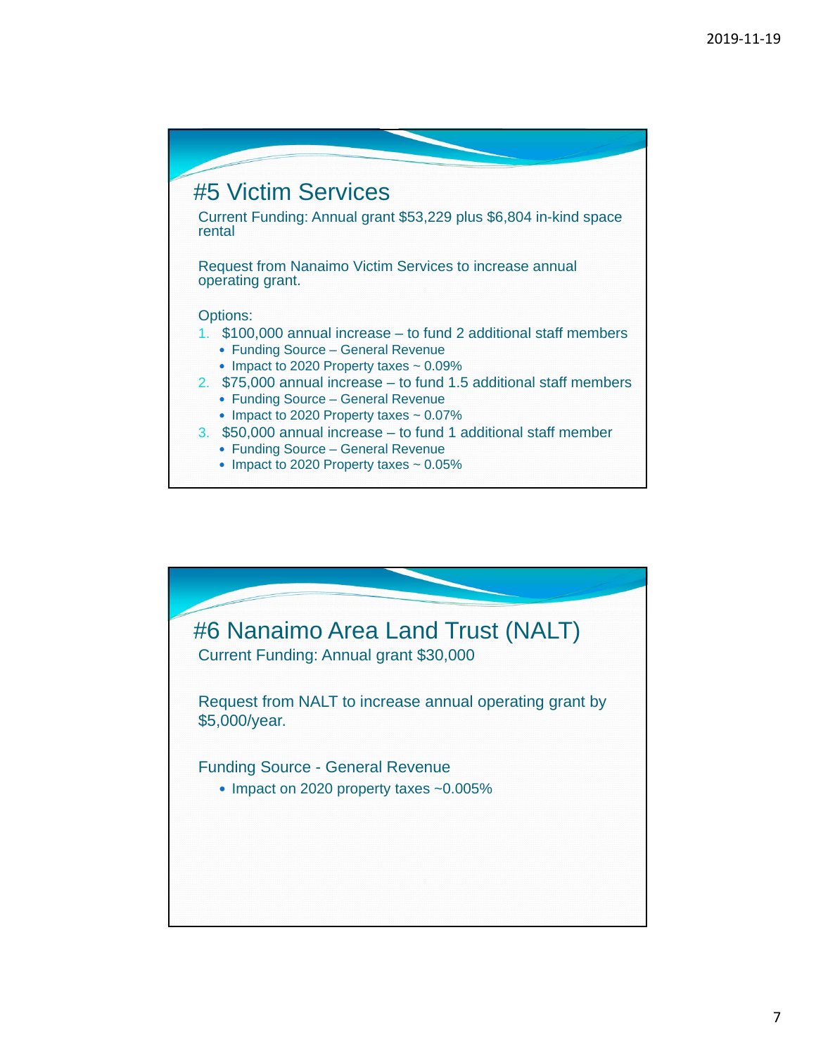

• Impact to 2020 Property taxes  $\sim 0.05\%$ 

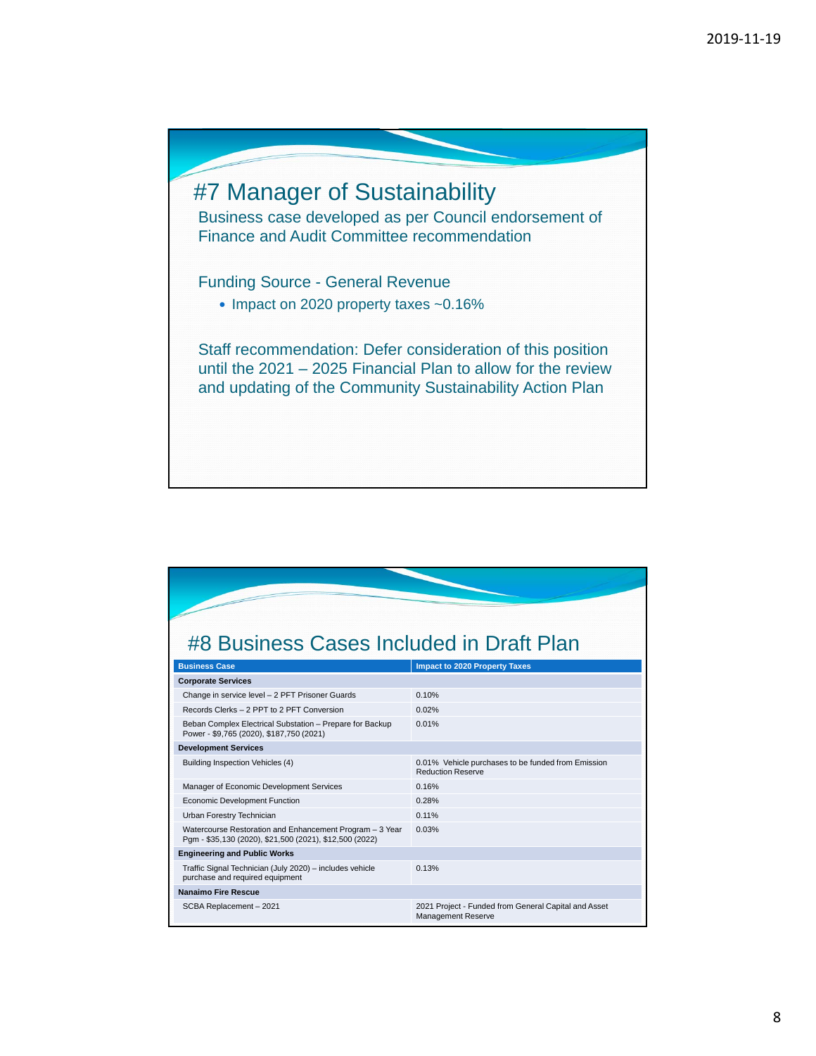

## #8 Business Cases Included in Draft Plan

| <b>Business Case</b>                                                                                                | <b>Impact to 2020 Property Taxes</b>                                              |
|---------------------------------------------------------------------------------------------------------------------|-----------------------------------------------------------------------------------|
| <b>Corporate Services</b>                                                                                           |                                                                                   |
| Change in service level - 2 PFT Prisoner Guards                                                                     | 0.10%                                                                             |
| Records Clerks - 2 PPT to 2 PFT Conversion                                                                          | 0.02%                                                                             |
| Beban Complex Electrical Substation - Prepare for Backup<br>Power - \$9,765 (2020), \$187,750 (2021)                | 0.01%                                                                             |
| <b>Development Services</b>                                                                                         |                                                                                   |
| Building Inspection Vehicles (4)                                                                                    | 0.01% Vehicle purchases to be funded from Emission<br><b>Reduction Reserve</b>    |
| Manager of Economic Development Services                                                                            | 0.16%                                                                             |
| <b>Economic Development Function</b>                                                                                | 0.28%                                                                             |
| Urban Forestry Technician                                                                                           | 0.11%                                                                             |
| Watercourse Restoration and Enhancement Program - 3 Year<br>Pgm - \$35,130 (2020), \$21,500 (2021), \$12,500 (2022) | 0.03%                                                                             |
| <b>Engineering and Public Works</b>                                                                                 |                                                                                   |
| Traffic Signal Technician (July 2020) - includes vehicle<br>purchase and required equipment                         | 0.13%                                                                             |
| Nanaimo Fire Rescue                                                                                                 |                                                                                   |
| SCBA Replacement - 2021                                                                                             | 2021 Project - Funded from General Capital and Asset<br><b>Management Reserve</b> |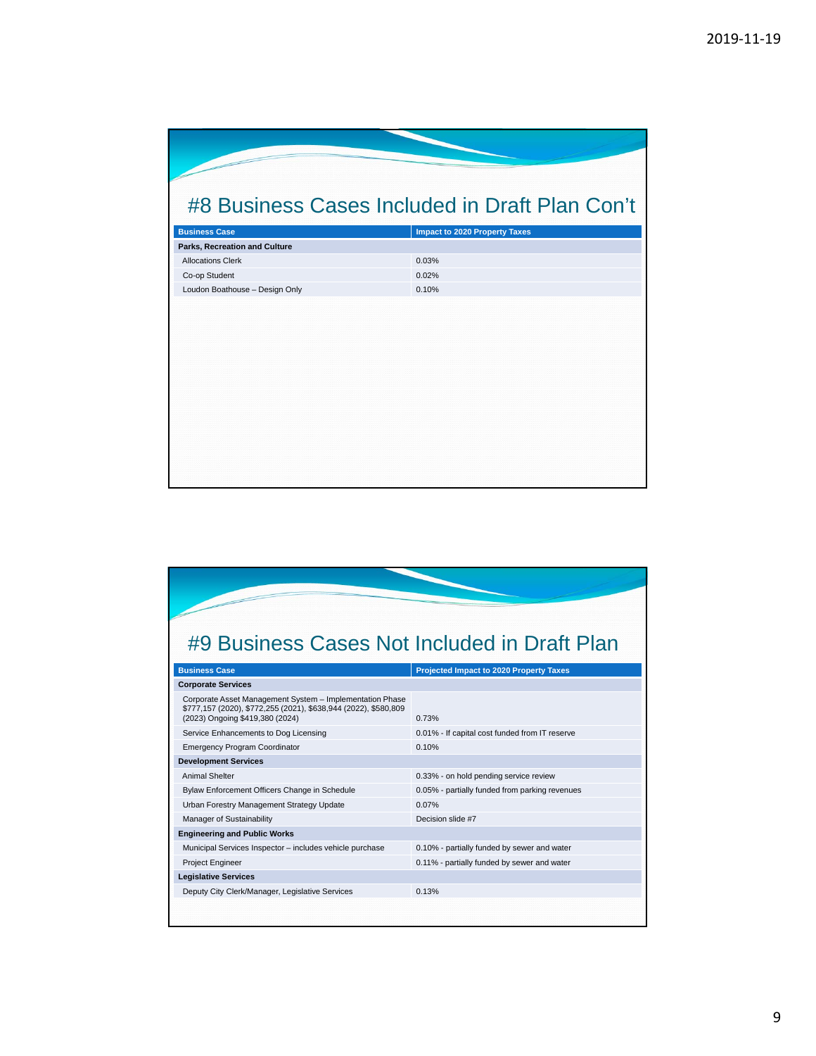| #8 Business Cases Included in Draft Plan Con't |  |  |  |
|------------------------------------------------|--|--|--|
| <b>Impact to 2020 Property Taxes</b>           |  |  |  |
|                                                |  |  |  |
| 0.03%                                          |  |  |  |
| 0.02%                                          |  |  |  |
| 0.10%                                          |  |  |  |
|                                                |  |  |  |
|                                                |  |  |  |
|                                                |  |  |  |
|                                                |  |  |  |
|                                                |  |  |  |
|                                                |  |  |  |
|                                                |  |  |  |
|                                                |  |  |  |
|                                                |  |  |  |
|                                                |  |  |  |
|                                                |  |  |  |
|                                                |  |  |  |
|                                                |  |  |  |

## #9 Business Cases Not Included in Draft Plan

| <b>Business Case</b>                                                                                                                                           | <b>Projected Impact to 2020 Property Taxes</b> |
|----------------------------------------------------------------------------------------------------------------------------------------------------------------|------------------------------------------------|
| <b>Corporate Services</b>                                                                                                                                      |                                                |
| Corporate Asset Management System - Implementation Phase<br>\$777,157 (2020), \$772,255 (2021), \$638,944 (2022), \$580,809<br>(2023) Ongoing \$419,380 (2024) | 0.73%                                          |
| Service Enhancements to Dog Licensing                                                                                                                          | 0.01% - If capital cost funded from IT reserve |
| <b>Emergency Program Coordinator</b>                                                                                                                           | 0.10%                                          |
| <b>Development Services</b>                                                                                                                                    |                                                |
| <b>Animal Shelter</b>                                                                                                                                          | 0.33% - on hold pending service review         |
| Bylaw Enforcement Officers Change in Schedule                                                                                                                  | 0.05% - partially funded from parking revenues |
| Urban Forestry Management Strategy Update                                                                                                                      | 0.07%                                          |
| Manager of Sustainability                                                                                                                                      | Decision slide #7                              |
| <b>Engineering and Public Works</b>                                                                                                                            |                                                |
| Municipal Services Inspector - includes vehicle purchase                                                                                                       | 0.10% - partially funded by sewer and water    |
| Project Engineer                                                                                                                                               | 0.11% - partially funded by sewer and water    |
| <b>Legislative Services</b>                                                                                                                                    |                                                |
| Deputy City Clerk/Manager, Legislative Services                                                                                                                | 0.13%                                          |
|                                                                                                                                                                |                                                |
|                                                                                                                                                                |                                                |